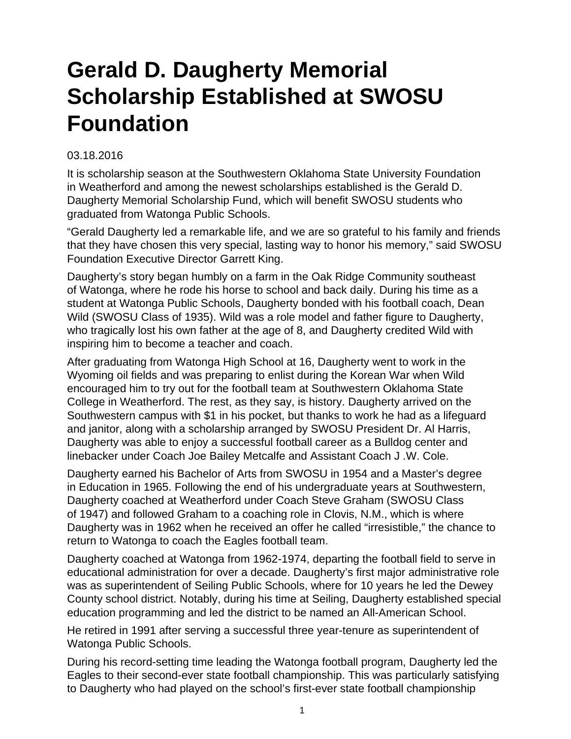## **Gerald D. Daugherty Memorial Scholarship Established at SWOSU Foundation**

## 03.18.2016

It is scholarship season at the Southwestern Oklahoma State University Foundation in Weatherford and among the newest scholarships established is the Gerald D. Daugherty Memorial Scholarship Fund, which will benefit SWOSU students who graduated from Watonga Public Schools.

"Gerald Daugherty led a remarkable life, and we are so grateful to his family and friends that they have chosen this very special, lasting way to honor his memory," said SWOSU Foundation Executive Director Garrett King.

Daugherty's story began humbly on a farm in the Oak Ridge Community southeast of Watonga, where he rode his horse to school and back daily. During his time as a student at Watonga Public Schools, Daugherty bonded with his football coach, Dean Wild (SWOSU Class of 1935). Wild was a role model and father figure to Daugherty, who tragically lost his own father at the age of 8, and Daugherty credited Wild with inspiring him to become a teacher and coach.

After graduating from Watonga High School at 16, Daugherty went to work in the Wyoming oil fields and was preparing to enlist during the Korean War when Wild encouraged him to try out for the football team at Southwestern Oklahoma State College in Weatherford. The rest, as they say, is history. Daugherty arrived on the Southwestern campus with \$1 in his pocket, but thanks to work he had as a lifeguard and janitor, along with a scholarship arranged by SWOSU President Dr. Al Harris, Daugherty was able to enjoy a successful football career as a Bulldog center and linebacker under Coach Joe Bailey Metcalfe and Assistant Coach J .W. Cole.

Daugherty earned his Bachelor of Arts from SWOSU in 1954 and a Master's degree in Education in 1965. Following the end of his undergraduate years at Southwestern, Daugherty coached at Weatherford under Coach Steve Graham (SWOSU Class of 1947) and followed Graham to a coaching role in Clovis, N.M., which is where Daugherty was in 1962 when he received an offer he called "irresistible," the chance to return to Watonga to coach the Eagles football team.

Daugherty coached at Watonga from 1962-1974, departing the football field to serve in educational administration for over a decade. Daugherty's first major administrative role was as superintendent of Seiling Public Schools, where for 10 years he led the Dewey County school district. Notably, during his time at Seiling, Daugherty established special education programming and led the district to be named an All-American School.

He retired in 1991 after serving a successful three year-tenure as superintendent of Watonga Public Schools.

During his record-setting time leading the Watonga football program, Daugherty led the Eagles to their second-ever state football championship. This was particularly satisfying to Daugherty who had played on the school's first-ever state football championship